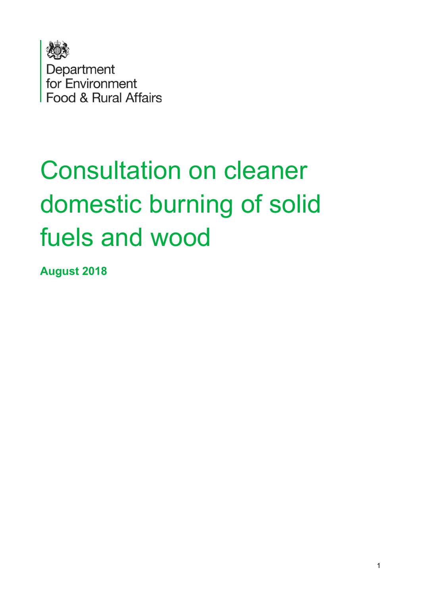

# Consultation on cleaner domestic burning of solid fuels and wood

**August 2018**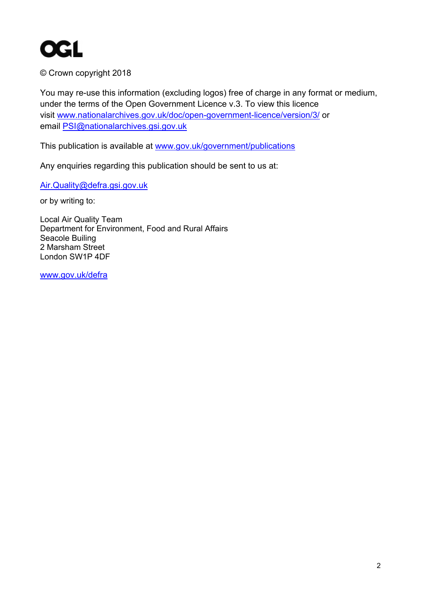

© Crown copyright 2018

You may re-use this information (excluding logos) free of charge in any format or medium, under the terms of the Open Government Licence v.3. To view this licence visit [www.nationalarchives.gov.uk/doc/open-government-licence/version/3/](http://www.nationalarchives.gov.uk/doc/open-government-licence/version/3/) or email [PSI@nationalarchives.gsi.gov.uk](mailto:PSI@nationalarchives.gsi.gov.uk) 

This publication is available at [www.gov.uk/government/publications](http://www.gov.uk/government/publications) 

Any enquiries regarding this publication should be sent to us at:

[Air.Quality@defra.gsi.gov.uk](mailto:Air.Quality@defra.gsi.gov.uk)

or by writing to:

Local Air Quality Team Department for Environment, Food and Rural Affairs Seacole Builing 2 Marsham Street London SW1P 4DF

[www.gov.uk/defra](http://www.gov.uk/defra)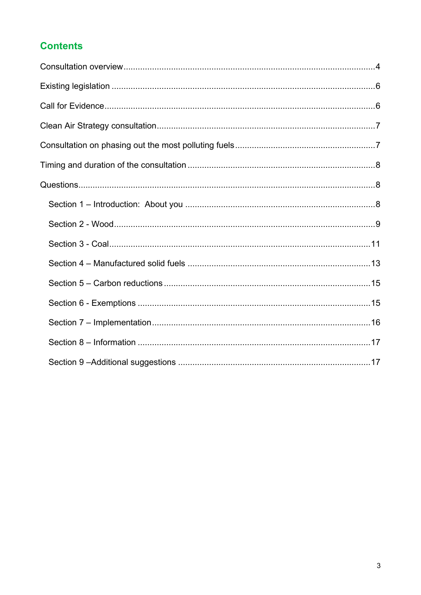#### **Contents**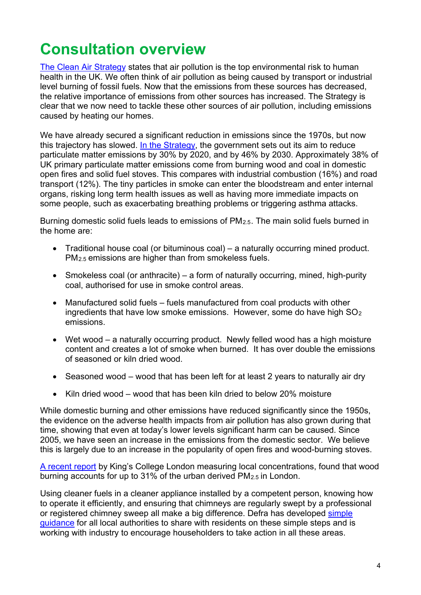## <span id="page-3-0"></span>**Consultation overview**

[The Clean Air Strategy](https://consult.defra.gov.uk/environmental-quality/clean-air-strategy-consultation/user_uploads/clean-air-strategy-2018-consultation.pdf) states that air pollution is the top environmental risk to human health in the UK. We often think of air pollution as being caused by transport or industrial level burning of fossil fuels. Now that the emissions from these sources has decreased, the relative importance of emissions from other sources has increased. The Strategy is clear that we now need to tackle these other sources of air pollution, including emissions caused by heating our homes.

We have already secured a significant reduction in emissions since the 1970s, but now this trajectory has slowed. [In the Strategy,](https://consult.defra.gov.uk/environmental-quality/clean-air-strategy-consultation/user_uploads/clean-air-strategy-2018-consultation.pdf) the government sets out its aim to reduce particulate matter emissions by 30% by 2020, and by 46% by 2030. Approximately 38% of UK primary particulate matter emissions come from burning wood and coal in domestic open fires and solid fuel stoves. This compares with industrial combustion (16%) and road transport (12%). The tiny particles in smoke can enter the bloodstream and enter internal organs, risking long term health issues as well as having more immediate impacts on some people, such as exacerbating breathing problems or triggering asthma attacks.

Burning domestic solid fuels leads to emissions of PM<sub>2.5</sub>. The main solid fuels burned in the home are:

- Traditional house coal (or bituminous coal) a naturally occurring mined product. PM2.5 emissions are higher than from smokeless fuels.
- Smokeless coal (or anthracite) a form of naturally occurring, mined, high-purity coal, authorised for use in smoke control areas.
- Manufactured solid fuels fuels manufactured from coal products with other ingredients that have low smoke emissions. However, some do have high  $SO<sub>2</sub>$ emissions.
- Wet wood a naturally occurring product. Newly felled wood has a high moisture content and creates a lot of smoke when burned. It has over double the emissions of seasoned or kiln dried wood.
- Seasoned wood wood that has been left for at least 2 years to naturally air dry
- Kiln dried wood wood that has been kiln dried to below 20% moisture

While domestic burning and other emissions have reduced significantly since the 1950s, the evidence on the adverse health impacts from air pollution has also grown during that time, showing that even at today's lower levels significant harm can be caused. Since 2005, we have seen an increase in the emissions from the domestic sector. We believe this is largely due to an increase in the popularity of open fires and wood-burning stoves.

[A recent report](https://uk-air.defra.gov.uk/assets/documents/reports/cat05/1801301017_KCL_WoodBurningReport_2017_FINAL.pdf) by King's College London measuring local concentrations, found that wood burning accounts for up to 31% of the urban derived PM2.5 in London.

Using cleaner fuels in a cleaner appliance installed by a competent person, knowing how to operate it efficiently, and ensuring that chimneys are regularly swept by a professional or registered chimney sweep all make a big difference. Defra has developed simple [guidance](https://consult.defra.gov.uk/++preview++/airquality/domestic-burning-of-wood-and-coal/supporting_documents/open%20fires%20wood%20burning%20stoves%20%20guideA4update12Oct.pdf) for all local authorities to share with residents on these simple steps and is working with industry to encourage householders to take action in all these areas.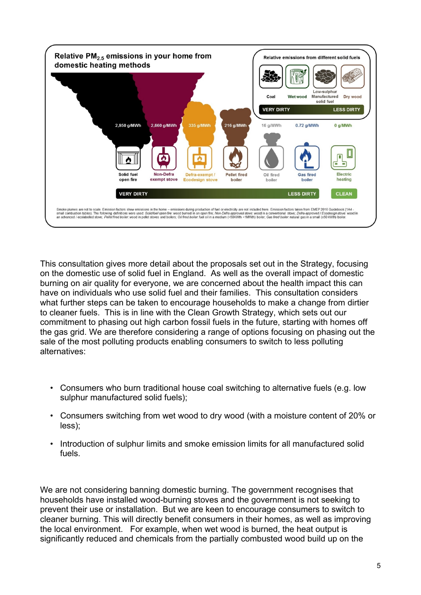

This consultation gives more detail about the proposals set out in the Strategy, focusing on the domestic use of solid fuel in England. As well as the overall impact of domestic burning on air quality for everyone, we are concerned about the health impact this can have on individuals who use solid fuel and their families. This consultation considers what further steps can be taken to encourage households to make a change from dirtier to cleaner fuels. This is in line with the Clean Growth Strategy, which sets out our commitment to phasing out high carbon fossil fuels in the future, starting with homes off the gas grid. We are therefore considering a range of options focusing on phasing out the sale of the most polluting products enabling consumers to switch to less polluting alternatives:

- Consumers who burn traditional house coal switching to alternative fuels (e.g. low sulphur manufactured solid fuels);
- Consumers switching from wet wood to dry wood (with a moisture content of 20% or less);
- Introduction of sulphur limits and smoke emission limits for all manufactured solid fuels.

We are not considering banning domestic burning. The government recognises that households have installed wood-burning stoves and the government is not seeking to prevent their use or installation. But we are keen to encourage consumers to switch to cleaner burning. This will directly benefit consumers in their homes, as well as improving the local environment. For example, when wet wood is burned, the heat output is significantly reduced and chemicals from the partially combusted wood build up on the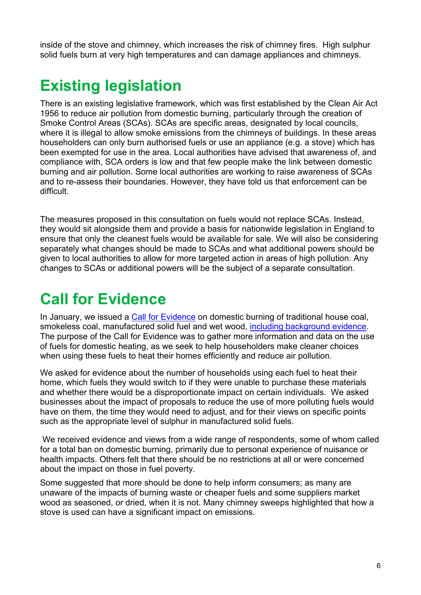inside of the stove and chimney, which increases the risk of chimney fires. High sulphur solid fuels burn at very high temperatures and can damage appliances and chimneys.

## <span id="page-5-0"></span>**Existing legislation**

There is an existing legislative framework, which was first established by the Clean Air Act 1956 to reduce air pollution from domestic burning, particularly through the creation of Smoke Control Areas (SCAs). SCAs are specific areas, designated by local councils, where it is illegal to allow smoke emissions from the chimneys of buildings. In these areas householders can only burn authorised fuels or use an appliance (e.g. a stove) which has been exempted for use in the area. Local authorities have advised that awareness of, and compliance with, SCA orders is low and that few people make the link between domestic burning and air pollution. Some local authorities are working to raise awareness of SCAs and to re-assess their boundaries. However, they have told us that enforcement can be difficult.

The measures proposed in this consultation on fuels would not replace SCAs. Instead, they would sit alongside them and provide a basis for nationwide legislation in England to ensure that only the cleanest fuels would be available for sale. We will also be considering separately what changes should be made to SCAs and what additional powers should be given to local authorities to allow for more targeted action in areas of high pollution. Any changes to SCAs or additional powers will be the subject of a separate consultation.

# <span id="page-5-1"></span>**Call for Evidence**

In January, we issued a [Call for Evidence](https://consult.defra.gov.uk/airquality/domestic-burning-of-wood-and-coal/) on domestic burning of traditional house coal, smokeless coal, manufactured solid fuel and wet wood, [including background evidence.](https://consult.defra.gov.uk/airquality/domestic-burning-of-wood-and-coal/supporting_documents/180129%20Evidence%20background%20documentation.pdf) The purpose of the Call for Evidence was to gather more information and data on the use of fuels for domestic heating, as we seek to help householders make cleaner choices when using these fuels to heat their homes efficiently and reduce air pollution.

We asked for evidence about the number of households using each fuel to heat their home, which fuels they would switch to if they were unable to purchase these materials and whether there would be a disproportionate impact on certain individuals. We asked businesses about the impact of proposals to reduce the use of more polluting fuels would have on them, the time they would need to adjust, and for their views on specific points such as the appropriate level of sulphur in manufactured solid fuels.

We received evidence and views from a wide range of respondents, some of whom called for a total ban on domestic burning, primarily due to personal experience of nuisance or health impacts. Others felt that there should be no restrictions at all or were concerned about the impact on those in fuel poverty.

Some suggested that more should be done to help inform consumers; as many are unaware of the impacts of burning waste or cheaper fuels and some suppliers market wood as seasoned, or dried, when it is not. Many chimney sweeps highlighted that how a stove is used can have a significant impact on emissions.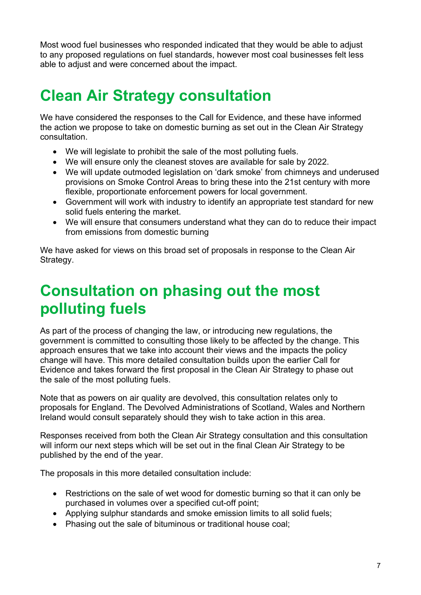Most wood fuel businesses who responded indicated that they would be able to adjust to any proposed regulations on fuel standards, however most coal businesses felt less able to adjust and were concerned about the impact.

## <span id="page-6-0"></span>**Clean Air Strategy consultation**

We have considered the responses to the Call for Evidence, and these have informed the action we propose to take on domestic burning as set out in the Clean Air Strategy consultation.

- We will legislate to prohibit the sale of the most polluting fuels.
- We will ensure only the cleanest stoves are available for sale by 2022.
- We will update outmoded legislation on 'dark smoke' from chimneys and underused provisions on Smoke Control Areas to bring these into the 21st century with more flexible, proportionate enforcement powers for local government.
- Government will work with industry to identify an appropriate test standard for new solid fuels entering the market.
- We will ensure that consumers understand what they can do to reduce their impact from emissions from domestic burning

We have asked for views on this broad set of proposals in response to the Clean Air Strategy.

## <span id="page-6-1"></span>**Consultation on phasing out the most polluting fuels**

As part of the process of changing the law, or introducing new regulations, the government is committed to consulting those likely to be affected by the change. This approach ensures that we take into account their views and the impacts the policy change will have. This more detailed consultation builds upon the earlier Call for Evidence and takes forward the first proposal in the Clean Air Strategy to phase out the sale of the most polluting fuels.

Note that as powers on air quality are devolved, this consultation relates only to proposals for England. The Devolved Administrations of Scotland, Wales and Northern Ireland would consult separately should they wish to take action in this area.

Responses received from both the Clean Air Strategy consultation and this consultation will inform our next steps which will be set out in the final Clean Air Strategy to be published by the end of the year.

The proposals in this more detailed consultation include:

- Restrictions on the sale of wet wood for domestic burning so that it can only be purchased in volumes over a specified cut-off point;
- Applying sulphur standards and smoke emission limits to all solid fuels;
- Phasing out the sale of bituminous or traditional house coal;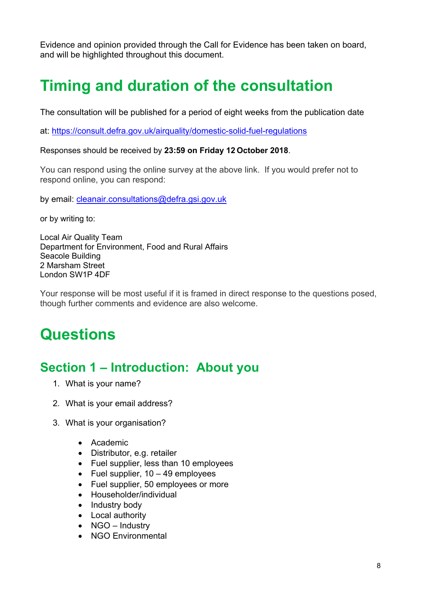Evidence and opinion provided through the Call for Evidence has been taken on board, and will be highlighted throughout this document.

# <span id="page-7-0"></span>**Timing and duration of the consultation**

The consultation will be published for a period of eight weeks from the publication date

at:<https://consult.defra.gov.uk/airquality/domestic-solid-fuel-regulations>

Responses should be received by **23:59 on Friday 12 October 2018**.

You can respond using the online survey at the above link. If you would prefer not to respond online, you can respond:

by email: [cleanair.consultations@defra.gsi.gov.uk](mailto:cleanair.consultations@defra.gsi.gov.uk)

or by writing to:

Local Air Quality Team Department for Environment, Food and Rural Affairs Seacole Building 2 Marsham Street London SW1P 4DF

Your response will be most useful if it is framed in direct response to the questions posed, though further comments and evidence are also welcome.

## <span id="page-7-1"></span>**Questions**

#### <span id="page-7-2"></span>**Section 1 – Introduction: About you**

- 1. What is your name?
- 2. What is your email address?
- 3. What is your organisation?
	- Academic
	- Distributor, e.g. retailer
	- Fuel supplier, less than 10 employees
	- Fuel supplier,  $10 49$  employees
	- Fuel supplier, 50 employees or more
	- Householder/individual
	- Industry body
	- Local authority
	- NGO Industry
	- NGO Environmental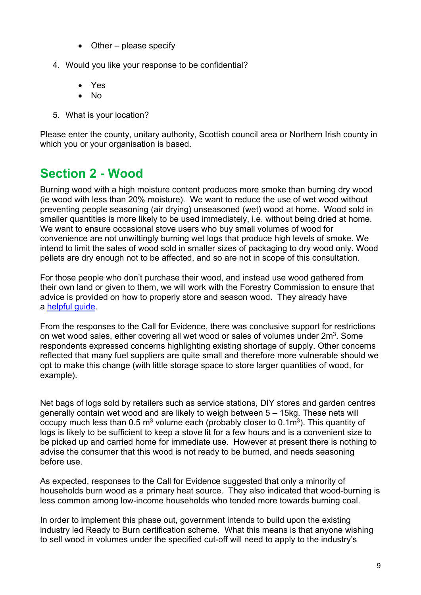- Other please specify
- 4. Would you like your response to be confidential?
	- Yes
	- No
- 5. What is your location?

Please enter the county, unitary authority, Scottish council area or Northern Irish county in which you or your organisation is based.

### <span id="page-8-0"></span>**Section 2 - Wood**

Burning wood with a high moisture content produces more smoke than burning dry wood (ie wood with less than 20% moisture). We want to reduce the use of wet wood without preventing people seasoning (air drying) unseasoned (wet) wood at home. Wood sold in smaller quantities is more likely to be used immediately, i.e. without being dried at home. We want to ensure occasional stove users who buy small volumes of wood for convenience are not unwittingly burning wet logs that produce high levels of smoke. We intend to limit the sales of wood sold in smaller sizes of packaging to dry wood only. Wood pellets are dry enough not to be affected, and so are not in scope of this consultation.

For those people who don't purchase their wood, and instead use wood gathered from their own land or given to them, we will work with the Forestry Commission to ensure that advice is provided on how to properly store and season wood. They already have a helpful quide.

From the responses to the Call for Evidence, there was conclusive support for restrictions on wet wood sales, either covering all wet wood or sales of volumes under  $2m<sup>3</sup>$ . Some respondents expressed concerns highlighting existing shortage of supply. Other concerns reflected that many fuel suppliers are quite small and therefore more vulnerable should we opt to make this change (with little storage space to store larger quantities of wood, for example).

Net bags of logs sold by retailers such as service stations, DIY stores and garden centres generally contain wet wood and are likely to weigh between 5 – 15kg. These nets will occupy much less than  $0.5 \text{ m}^3$  volume each (probably closer to  $0.1 \text{ m}^3$ ). This quantity of logs is likely to be sufficient to keep a stove lit for a few hours and is a convenient size to be picked up and carried home for immediate use. However at present there is nothing to advise the consumer that this wood is not ready to be burned, and needs seasoning before use.

As expected, responses to the Call for Evidence suggested that only a minority of households burn wood as a primary heat source. They also indicated that wood-burning is less common among low-income households who tended more towards burning coal.

In order to implement this phase out, government intends to build upon the existing industry led Ready to Burn certification scheme. What this means is that anyone wishing to sell wood in volumes under the specified cut-off will need to apply to the industry's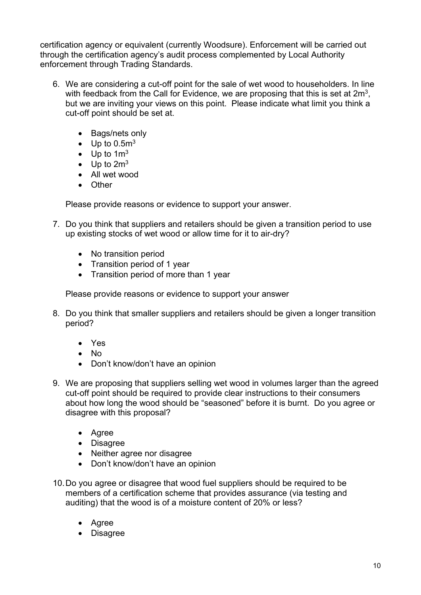certification agency or equivalent (currently Woodsure). Enforcement will be carried out through the certification agency's audit process complemented by Local Authority enforcement through Trading Standards.

- 6. We are considering a cut-off point for the sale of wet wood to householders. In line with feedback from the Call for Evidence, we are proposing that this is set at 2m<sup>3</sup>, but we are inviting your views on this point. Please indicate what limit you think a cut-off point should be set at.
	- Bags/nets only
	- Up to  $0.5<sup>m3</sup>$
	- Up to  $1m<sup>3</sup>$
	- Up to  $2m<sup>3</sup>$
	- All wet wood
	- Other

Please provide reasons or evidence to support your answer.

- 7. Do you think that suppliers and retailers should be given a transition period to use up existing stocks of wet wood or allow time for it to air-dry?
	- No transition period
	- Transition period of 1 year
	- Transition period of more than 1 year

Please provide reasons or evidence to support your answer

- 8. Do you think that smaller suppliers and retailers should be given a longer transition period?
	- Yes
	- No
	- Don't know/don't have an opinion
- 9. We are proposing that suppliers selling wet wood in volumes larger than the agreed cut-off point should be required to provide clear instructions to their consumers about how long the wood should be "seasoned" before it is burnt. Do you agree or disagree with this proposal?
	- Agree
	- Disagree
	- Neither agree nor disagree
	- Don't know/don't have an opinion
- 10.Do you agree or disagree that wood fuel suppliers should be required to be members of a certification scheme that provides assurance (via testing and auditing) that the wood is of a moisture content of 20% or less?
	- Agree
	- Disagree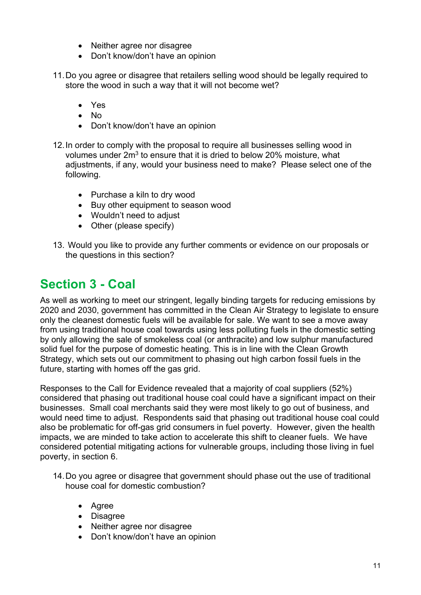- Neither agree nor disagree
- Don't know/don't have an opinion
- 11.Do you agree or disagree that retailers selling wood should be legally required to store the wood in such a way that it will not become wet?
	- Yes
	- No
	- Don't know/don't have an opinion
- 12.In order to comply with the proposal to require all businesses selling wood in volumes under  $2m<sup>3</sup>$  to ensure that it is dried to below 20% moisture, what adjustments, if any, would your business need to make? Please select one of the following.
	- Purchase a kiln to dry wood
	- Buy other equipment to season wood
	- Wouldn't need to adjust
	- Other (please specify)
- 13. Would you like to provide any further comments or evidence on our proposals or the questions in this section?

#### <span id="page-10-0"></span>**Section 3 - Coal**

As well as working to meet our stringent, legally binding targets for reducing emissions by 2020 and 2030, government has committed in the Clean Air Strategy to legislate to ensure only the cleanest domestic fuels will be available for sale. We want to see a move away from using traditional house coal towards using less polluting fuels in the domestic setting by only allowing the sale of smokeless coal (or anthracite) and low sulphur manufactured solid fuel for the purpose of domestic heating. This is in line with the Clean Growth Strategy, which sets out our commitment to phasing out high carbon fossil fuels in the future, starting with homes off the gas grid.

Responses to the Call for Evidence revealed that a majority of coal suppliers (52%) considered that phasing out traditional house coal could have a significant impact on their businesses. Small coal merchants said they were most likely to go out of business, and would need time to adjust. Respondents said that phasing out traditional house coal could also be problematic for off-gas grid consumers in fuel poverty. However, given the health impacts, we are minded to take action to accelerate this shift to cleaner fuels. We have considered potential mitigating actions for vulnerable groups, including those living in fuel poverty, in section 6.

- 14.Do you agree or disagree that government should phase out the use of traditional house coal for domestic combustion?
	- Agree
	- Disagree
	- Neither agree nor disagree
	- Don't know/don't have an opinion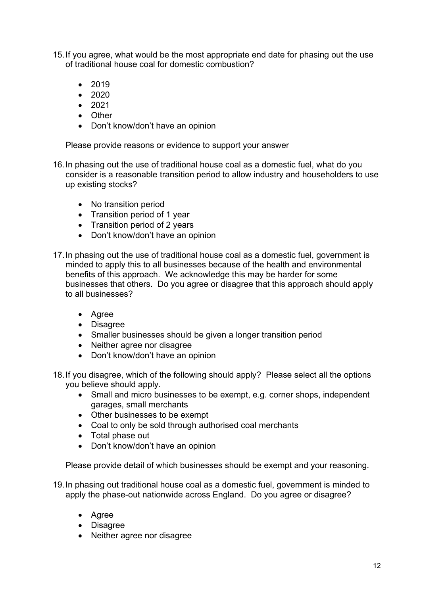- 15.If you agree, what would be the most appropriate end date for phasing out the use of traditional house coal for domestic combustion?
	- 2019
	- 2020
	- 2021
	- Other
	- Don't know/don't have an opinion

Please provide reasons or evidence to support your answer

- 16.In phasing out the use of traditional house coal as a domestic fuel, what do you consider is a reasonable transition period to allow industry and householders to use up existing stocks?
	- No transition period
	- Transition period of 1 year
	- Transition period of 2 years
	- Don't know/don't have an opinion
- 17.In phasing out the use of traditional house coal as a domestic fuel, government is minded to apply this to all businesses because of the health and environmental benefits of this approach. We acknowledge this may be harder for some businesses that others. Do you agree or disagree that this approach should apply to all businesses?
	- Agree
	- Disagree
	- Smaller businesses should be given a longer transition period
	- Neither agree nor disagree
	- Don't know/don't have an opinion
- 18.If you disagree, which of the following should apply? Please select all the options you believe should apply.
	- Small and micro businesses to be exempt, e.g. corner shops, independent garages, small merchants
	- Other businesses to be exempt
	- Coal to only be sold through authorised coal merchants
	- Total phase out
	- Don't know/don't have an opinion

Please provide detail of which businesses should be exempt and your reasoning.

- 19.In phasing out traditional house coal as a domestic fuel, government is minded to apply the phase-out nationwide across England. Do you agree or disagree?
	- Agree
	- Disagree
	- Neither agree nor disagree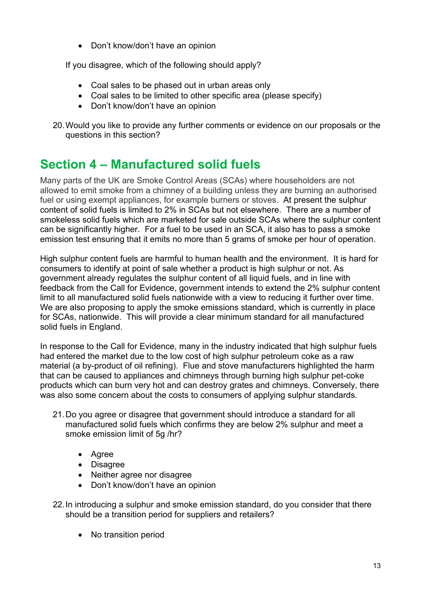• Don't know/don't have an opinion

If you disagree, which of the following should apply?

- Coal sales to be phased out in urban areas only
- Coal sales to be limited to other specific area (please specify)
- Don't know/don't have an opinion
- 20.Would you like to provide any further comments or evidence on our proposals or the questions in this section?

#### <span id="page-12-0"></span>**Section 4 – Manufactured solid fuels**

Many parts of the UK are Smoke Control Areas (SCAs) where householders are not allowed to emit smoke from a chimney of a building unless they are burning an authorised fuel or using exempt appliances, for example burners or stoves. At present the sulphur content of solid fuels is limited to 2% in SCAs but not elsewhere. There are a number of smokeless solid fuels which are marketed for sale outside SCAs where the sulphur content can be significantly higher. For a fuel to be used in an SCA, it also has to pass a smoke emission test ensuring that it emits no more than 5 grams of smoke per hour of operation.

High sulphur content fuels are harmful to human health and the environment. It is hard for consumers to identify at point of sale whether a product is high sulphur or not. As government already regulates the sulphur content of all liquid fuels, and in line with feedback from the Call for Evidence, government intends to extend the 2% sulphur content limit to all manufactured solid fuels nationwide with a view to reducing it further over time. We are also proposing to apply the smoke emissions standard, which is currently in place for SCAs, nationwide. This will provide a clear minimum standard for all manufactured solid fuels in England.

In response to the Call for Evidence, many in the industry indicated that high sulphur fuels had entered the market due to the low cost of high sulphur petroleum coke as a raw material (a by-product of oil refining). Flue and stove manufacturers highlighted the harm that can be caused to appliances and chimneys through burning high sulphur pet-coke products which can burn very hot and can destroy grates and chimneys. Conversely, there was also some concern about the costs to consumers of applying sulphur standards.

- 21.Do you agree or disagree that government should introduce a standard for all manufactured solid fuels which confirms they are below 2% sulphur and meet a smoke emission limit of 5g /hr?
	- Agree
	- Disagree
	- Neither agree nor disagree
	- Don't know/don't have an opinion
- 22.In introducing a sulphur and smoke emission standard, do you consider that there should be a transition period for suppliers and retailers?
	- No transition period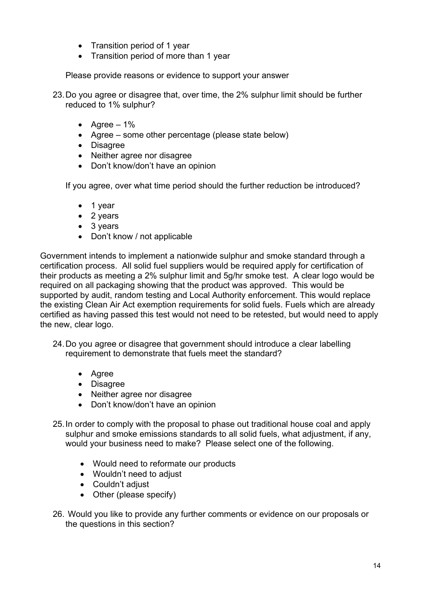- Transition period of 1 year
- Transition period of more than 1 year

Please provide reasons or evidence to support your answer

23.Do you agree or disagree that, over time, the 2% sulphur limit should be further reduced to 1% sulphur?

- Agree  $-1\%$
- Agree some other percentage (please state below)
- Disagree
- Neither agree nor disagree
- Don't know/don't have an opinion

If you agree, over what time period should the further reduction be introduced?

- 1 year
- 2 years
- 3 years
- Don't know / not applicable

Government intends to implement a nationwide sulphur and smoke standard through a certification process. All solid fuel suppliers would be required apply for certification of their products as meeting a 2% sulphur limit and 5g/hr smoke test. A clear logo would be required on all packaging showing that the product was approved. This would be supported by audit, random testing and Local Authority enforcement. This would replace the existing Clean Air Act exemption requirements for solid fuels. Fuels which are already certified as having passed this test would not need to be retested, but would need to apply the new, clear logo.

24.Do you agree or disagree that government should introduce a clear labelling requirement to demonstrate that fuels meet the standard?

- Agree
- Disagree
- Neither agree nor disagree
- Don't know/don't have an opinion
- 25.In order to comply with the proposal to phase out traditional house coal and apply sulphur and smoke emissions standards to all solid fuels, what adjustment, if any, would your business need to make? Please select one of the following.
	- Would need to reformate our products
	- Wouldn't need to adjust
	- Couldn't adjust
	- Other (please specify)
- 26. Would you like to provide any further comments or evidence on our proposals or the questions in this section?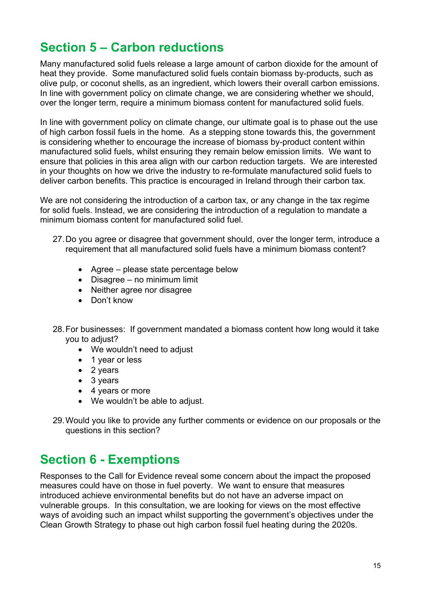#### <span id="page-14-0"></span>**Section 5 – Carbon reductions**

Many manufactured solid fuels release a large amount of carbon dioxide for the amount of heat they provide. Some manufactured solid fuels contain biomass by-products, such as olive pulp, or coconut shells, as an ingredient, which lowers their overall carbon emissions. In line with government policy on climate change, we are considering whether we should, over the longer term, require a minimum biomass content for manufactured solid fuels.

In line with government policy on climate change, our ultimate goal is to phase out the use of high carbon fossil fuels in the home. As a stepping stone towards this, the government is considering whether to encourage the increase of biomass by-product content within manufactured solid fuels, whilst ensuring they remain below emission limits. We want to ensure that policies in this area align with our carbon reduction targets. We are interested in your thoughts on how we drive the industry to re-formulate manufactured solid fuels to deliver carbon benefits. This practice is encouraged in Ireland through their carbon tax.

We are not considering the introduction of a carbon tax, or any change in the tax regime for solid fuels. Instead, we are considering the introduction of a regulation to mandate a minimum biomass content for manufactured solid fuel.

- 27.Do you agree or disagree that government should, over the longer term, introduce a requirement that all manufactured solid fuels have a minimum biomass content?
	- Agree please state percentage below
	- Disagree no minimum limit
	- Neither agree nor disagree
	- Don't know
- 28.For businesses: If government mandated a biomass content how long would it take you to adjust?
	- We wouldn't need to adjust
	- 1 year or less
	- 2 years
	- 3 years
	- 4 years or more
	- We wouldn't be able to adjust.
- 29.Would you like to provide any further comments or evidence on our proposals or the questions in this section?

#### <span id="page-14-1"></span>**Section 6 - Exemptions**

Responses to the Call for Evidence reveal some concern about the impact the proposed measures could have on those in fuel poverty. We want to ensure that measures introduced achieve environmental benefits but do not have an adverse impact on vulnerable groups. In this consultation, we are looking for views on the most effective ways of avoiding such an impact whilst supporting the government's objectives under the Clean Growth Strategy to phase out high carbon fossil fuel heating during the 2020s.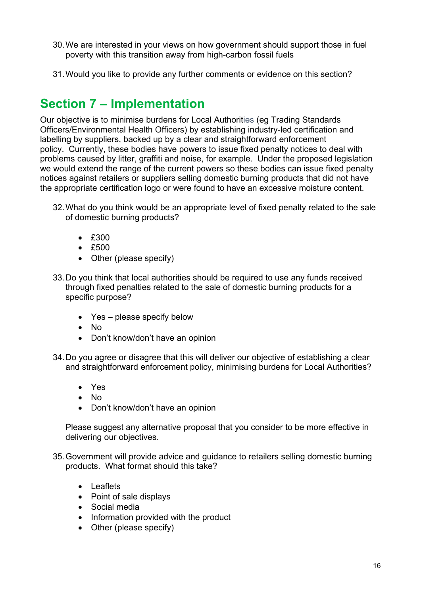- 30.We are interested in your views on how government should support those in fuel poverty with this transition away from high-carbon fossil fuels
- <span id="page-15-0"></span>31.Would you like to provide any further comments or evidence on this section?

#### **Section 7 – Implementation**

Our objective is to minimise burdens for Local Authorities (eg Trading Standards Officers/Environmental Health Officers) by establishing industry-led certification and labelling by suppliers, backed up by a clear and straightforward enforcement policy. Currently, these bodies have powers to issue fixed penalty notices to deal with problems caused by litter, graffiti and noise, for example. Under the proposed legislation we would extend the range of the current powers so these bodies can issue fixed penalty notices against retailers or suppliers selling domestic burning products that did not have the appropriate certification logo or were found to have an excessive moisture content.

- 32.What do you think would be an appropriate level of fixed penalty related to the sale of domestic burning products?
	- £300
	- £500
	- Other (please specify)
- 33.Do you think that local authorities should be required to use any funds received through fixed penalties related to the sale of domestic burning products for a specific purpose?
	- Yes please specify below
	- No
	- Don't know/don't have an opinion
- 34.Do you agree or disagree that this will deliver our objective of establishing a clear and straightforward enforcement policy, minimising burdens for Local Authorities?
	- Yes
	- No
	- Don't know/don't have an opinion

Please suggest any alternative proposal that you consider to be more effective in delivering our objectives.

- 35.Government will provide advice and guidance to retailers selling domestic burning products. What format should this take?
	- Leaflets
	- Point of sale displays
	- Social media
	- Information provided with the product
	- Other (please specify)